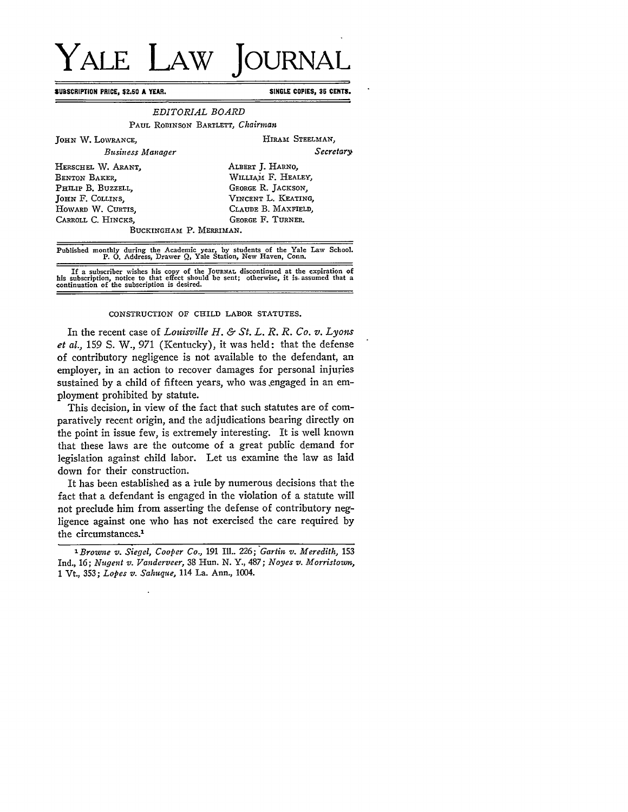## **YALE LAW JOURNAL**

**SUBSCRIPTION PRICE, \$2.50 A YEAR. SINGLE COPIES, 35 CENTS.**

## *EDITORIAL BOARD* PAUL ROBINSON BARTLETT, *Chairman*

| JOHN W. LOWRANCE,       | HIRAM STEELMAN,     |
|-------------------------|---------------------|
| Business Manager        | Secretary           |
| HERSCHEL W. ARANT.      | ALBERT J. HARNO,    |
| BENTON BAKER.           | WILLIAM F. HEALEY,  |
| PHILIP B. BUZZELL.      | GEORGE R. JACKSON.  |
| JOHN F. COLLINS.        | VINCENT L. KEATING, |
| HOWARD W. CURTIS,       | CLAUDE B. MAXFIELD. |
| CARROLL C. HINCKS.      | GEORGE F. TURNER.   |
| BUCKINGHAM P. MERRIMAN. |                     |

Published monthly during the Academic year, by students of the Yale Law School. P. **0.** Address, Drawer Q, Yale Station, New Haven, Conn.

If a subscriber wishes his copy of the JOURNAL discontinued at the expiration of his subscription, notice to that effect should be sent; otherwise, it is assumed that a continuation of the subscription is desired.

## CONSTRUCTION OF CHILD LABOR STATUTES.

In the recent case of *Louisville H. & St. L. R. R. Co. v. Lyon et al.,* 159 S. W., 971 (Kentucky), it was held: that the defense of contributory negligence is not available to the defendant, an employer, in an action to recover damages for personal injuries sustained by a child of fifteen years, who was engaged in an employment prohibited by statute.

This decision, in view of the fact that such statutes are of comparatively recent origin, and the adjudications bearing directly on the point in issue few, is extremely interesting. It is well known that these laws are the outcome of a great public demand for legislation against child labor. Let us examine the law as laid down for their construction.

It has been established as a rule by numerous decisions that the fact that a defendant is engaged in the violation of a statute will not preclude him from asserting the defense of contributory negligence against one who has not exercised the care required by the circumstances.'

*<sup>&#</sup>x27;Browne v. Siegel, Cooper Co.,* 191 **IlL.** 226; *Gartin v. Meredith,* <sup>153</sup> Ind., 16; *Nugent v. Vanderveer,* 38 Hun. N. Y., 487; *Noyes v. Morristown,* 1 Vt., 353; *Lopes v. Sahuque,* 114 La. Ann., 1004.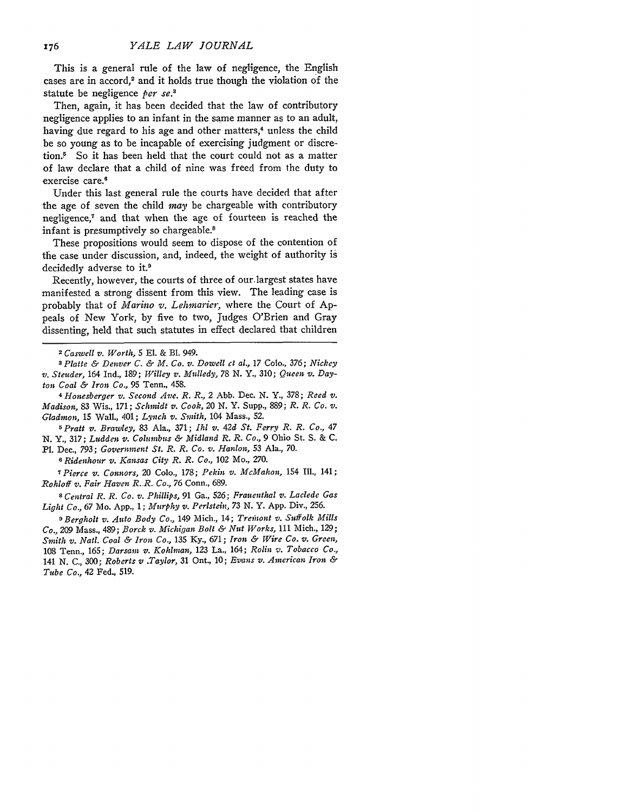This is a general rule of the law of negligence, the English cases are in accord,<sup>2</sup> and it holds true though the violation of the statute be negligence *per se.3*

Then, again, it has been decided that the law of contributory negligence applies to an infant in the same manner as to an adult, having due regard to his age and other matters,<sup>4</sup> unless the child be so young as to be incapable of exercising judgment or discretion.5 So it has been held that the court could not as a matter of law declare that a child of nine was freed from the duty to exercise care.<sup>6</sup>

Under this last general rule the courts have decided that after the age of seven the child *may* be chargeable with contributory negligence,<sup>7</sup> and that when the age of fourteen is reached the infant is presumptively so chargeable.<sup>8</sup>

These propositions would seem to dispose of the contention of the case under discussion, and, indeed, the weight of authority is decidedly adverse to it.<sup>9</sup>

Recently, however, the courts of three of our-largest states have manifested a strong dissent from this view. The leading case is probably that of *Marino v. Lehmarier,* where the Court of Appeals of New York, by five to two, Judges O'Brien and Gray dissenting, held that such statutes in effect declared that children

*3 Platte & Denver C. & M. Co. v. Dowell ct al.,* 17 Colo., 376; *Nickey v. Steuder,* 164 Ind., 189; *Willey v. Mulledy, 78 N.* Y., 310; *Queen v. Dayton Coal &' Iron Co.,* 95 Tenn., 458.

*4 Honesberger v. Second Ave. R. R.,* 2 Abb. Dec. N. Y., 378; *Reed v. Madison,* 83 Wis., 171; *Schmidt v. Cook, 20* N. Y. Supp., 889; *R. R. Co. v. Gladmon,* 15 Wall., 401; *Lynch v. Smith,* 104 Mass., 52.

*5 Pratt v. Brawley,* 83 Ala., 371; *Ih v. 42d St. Ferry R. R. Co., 47* N. Y., 317; *Ludden v. Columbus & Midland R. R. Co.,* 9 Ohio St. S. & C.

Pl. Dec., 793; *Government St. R. R. Co. v. Hanlon,* 53 Ala., 70.

*6 Ridenhour v. Kansas City R. R. Co.,* 102 Mo., 270.

*7Pierce v. Connors,* 20 Colo., 178; *Pekin v. McMahon,* 154 **Ill.,** 141; *Rohloff v. Fair Haven R..R. Co., 76* Conn., 689.

*8 Central R. R. Co. v. Phillips,* 91 Ga., *526; Frau enthal v. Laclede Gas Light Co., 67* Mo. App., 1; *Murphy v. Perlstein, 73* N. Y. App. Div., 256.

*9 Bergholt v. Auto Body Co.,* 149 Mich., 14; *Treib'ont v. Suffolk Mills Co.,* 209 Mass., 489; *.Borck v. Michigan Bolt &' Nut Works,* 111 Mich., 129; *Smith v. Natl. Coal & Iron Co.,* 135 Ky., 671; *Iron & Wire Co. v. Green,* 108 Tenn., 165; *Darsam v. Kohlman,* 123 La., 164; *Rolin v. Tobacco Co.,* <sup>141</sup>*N.* C., 300; *Roberts v .Taylor,* 31 Ont., 10; *Evans v. American Iron & Tube Co.,* 42 Fed., 519.

*<sup>2</sup> Caswell v. Worth,* 5 El. & Bl. 949.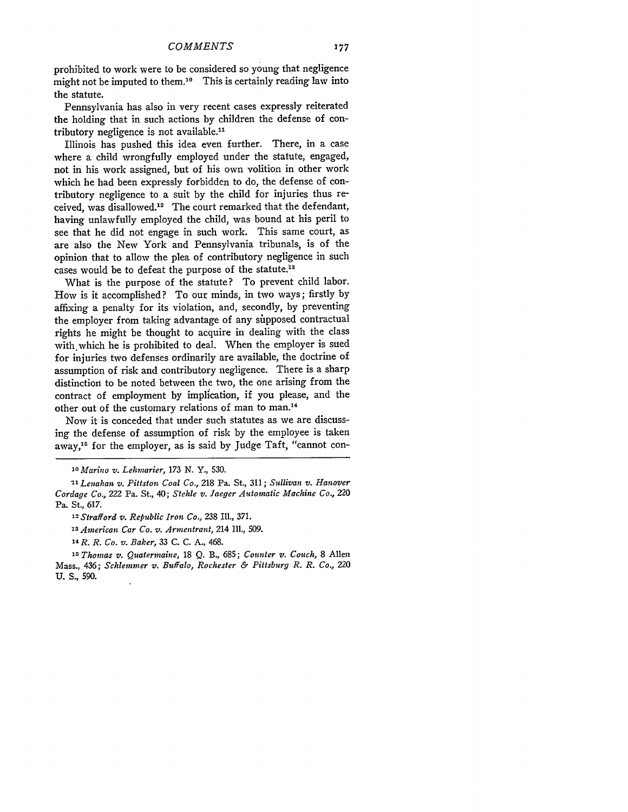prohibited to work were to be considered so young that negligence might not be imputed to them.<sup>10</sup> This is certainly reading law into the statute.

Pennsylvania has also in very recent cases expressly reiterated the holding that in such actions by children the defense of contributory negligence is not available.<sup>11</sup>

Illinois has pushed this idea even further. There, in a case where a child wrongfully employed under the statute, engaged, not in his work assigned, but of his own volition in other work which he had been expressly forbidden to do, the defense of contributory negligence to a suit by the child for injuries thus received, was disallowed.<sup>12</sup> The court remarked that the defendant, having unlawfully employed the child, was bound at his peril to see that he did not engage in such work. This same court, as are also the New York and Pennsylvania tribunals, is of the opinion that to allow the plea of contributory negligence in such cases would be to defeat the purpose of the statute.<sup>1</sup>

What is the purpose of the statute? To prevent child labor. How is it accomplished? To our minds, in two ways; firstly by affixing a penalty for its violation, and, secondly, by preventing the employer from taking advantage of any supposed contractual rights he might be thought to acquire in dealing with the class with which he is prohibited to deal. When the employer is sued for injuries two defenses ordinarily are available, the doctrine of assumption of risk and contributory negligence. There is a sharp distinction to be noted between the two, the one arising from the contract of employment by implication, if you please, and the other out of the customary relations of man to man.<sup>14</sup>

Now it is conceded that under such statutes as we are discussing the defense of assumption of risk by the employee is taken away,<sup>15</sup> for the employer, as is said by Judge Taft, "cannot con-

*II Lenahan v. Pittston Coal Co.,* 218 Pa. St., **311;** *Sullivan v. Hanover Cordage Co.,* 222 Pa. St., 40; *Stehle v. Jaeger Automatic Machine Co.,* Z20 Pa. St., 617.

*<sup>10</sup>Marino v. Lehmarier, 173* N. Y., 530.

*<sup>12</sup>Strafford v. Republic Iron Co.,* 238 Ill., 371.

*<sup>13</sup>American Car Co. v. Armentrant,* 214 **Ill.,** 509.

<sup>&#</sup>x27;14R. *R. Co. v. Baker,* 33 C. C. **A.,** 468.

*<sup>1</sup>r Thomas v. Quatermaine,* 18 Q. B., 685; *Counter v. Couch,* 8 Allen Mass., 436; *Schleminer v. Buffalo, Rochester & Pittsburg* R. *R. Co., 220* U. *S., 590.*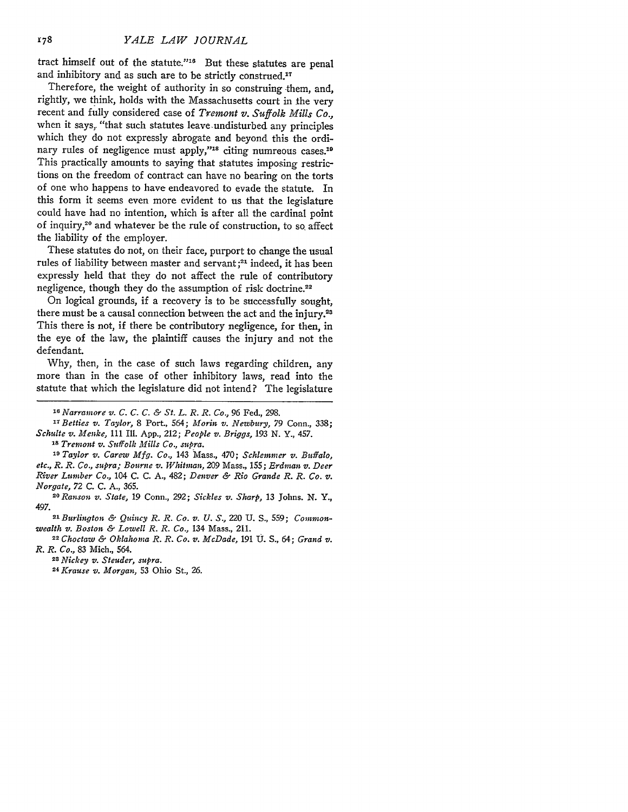tract himself out of the statute."18 But these statutes are penal and inhibitory and as such are to be strictly construed.<sup>17</sup>

Therefore, the weight of authority in so construing them, and, rightly, we think, holds with the Massachusetts court in the very recent and fully considered case of Tremont *v. Suffolk Mills Co.,* when it says, "that such statutes leave undisturbed any principles which they do not expressly abrogate and beyond this the ordinary rules of negligence must apply,"<sup>18</sup> citing numreous cases.<sup>19</sup> This practically amounts to saying that statutes imposing restrictions on the freedom of contract can have no bearing on the torts of one who happens to have endeavored to evade the statute. In this form it seems even more evident to us that the legislature could have had no intention, which is after all the cardinal point of inquiry,<sup>20</sup> and whatever be the rule of construction, to so affect the liability of the employer.

These statutes do not, on their face, purport to change the usual rules of liability between master and servant **;21** indeed, it has been expressly held that they do not affect the rule of contributory negligence, though they do the assumption of risk doctrine.<sup>22</sup>

On logical grounds, if a recovery is to be successfully sought, there must be a causal connection between the act and the injury.<sup>23</sup> This there is not, if there be contributory negligence, for then, in the eye of the law, the plaintiff causes the injury and not the defendant.

Why, then, in the case of such laws regarding children, any more than in the case of other inhibitory laws, read into the statute that which the legislature did not intend? The legislature

**'7** *Betties v. Taylor,* 8 Port., 564; *Morin v. Newbury,* 79 Conn., 338; *Schulte v. Menke,* 111 Ill. **App.,** 212; *People v. Briggs,* **193 N.** Y., 457.

*I8 Tremont v. Suffolk Mills Co., supra.*

*<sup>19</sup>Taylor v. Carew Mfg. Co.,* 143 Mass., 470; *Schlemmer v. Buffalo, etc., R. R. Co., supra; Bourne v. Whitman, 209* Mass., 155; *Erdman v. Deer River Lumber Co.,* 104 C. C. A., 482; *Denver & Rio Grande R. R. Co. v.*

*Norgate,* 72 C. C. A., 365. *<sup>2</sup> 0 Ranson v. State,* 19 Conn., *292; Sickles v. Sharp,* 13 Johns. N. Y.,

497. *21 Burlington & Quincy R. R. Co. v. U.* **S.,** 220 **U.** S., 559; *Commonwealth v. Boston & Lowell R. R. Co.,* 134 Mass., 211.

*<sup>22</sup>Choctaw & Oklahoma R. R. Co. v. McDade,* 191 U. **S.,** 64; *Grand v. R. R. Co.,* **83** Mich., 564.

*<sup>23</sup>Nickey v. Steuder, supra.*

*24 Krause v. Morgan,* 53 Ohio St., *26.*

*VI Narramore v. C. C. C. & St. L. R. R. Co.,* 96 Fed., 298.